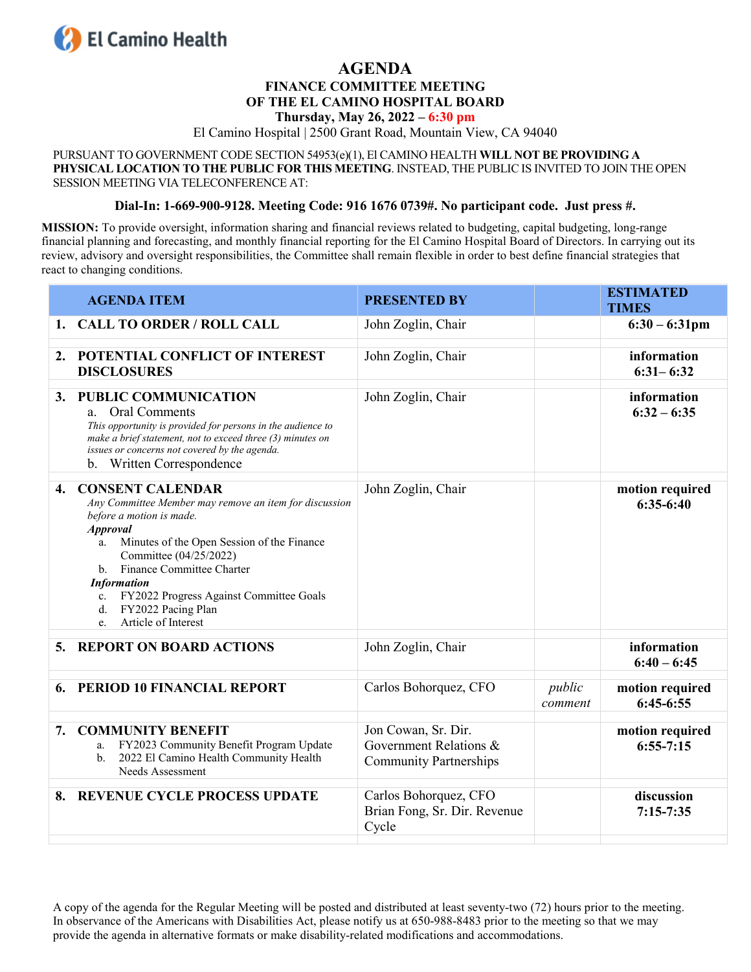

## **AGENDA**

#### **FINANCE COMMITTEE MEETING OF THE EL CAMINO HOSPITAL BOARD Thursday, May 26, 2022 – 6:30 pm**

El Camino Hospital | 2500 Grant Road, Mountain View, CA 94040

PURSUANT TO GOVERNMENT CODE SECTION 54953(e)(1), El CAMINO HEALTH **WILL NOT BE PROVIDING A PHYSICAL LOCATION TO THE PUBLIC FOR THIS MEETING**. INSTEAD, THE PUBLIC IS INVITED TO JOIN THE OPEN SESSION MEETING VIA TELECONFERENCE AT:

#### **Dial-In: 1-669-900-9128. Meeting Code: 916 1676 0739#. No participant code. Just press #.**

**MISSION:** To provide oversight, information sharing and financial reviews related to budgeting, capital budgeting, long-range financial planning and forecasting, and monthly financial reporting for the El Camino Hospital Board of Directors. In carrying out its review, advisory and oversight responsibilities, the Committee shall remain flexible in order to best define financial strategies that react to changing conditions.

|    | <b>AGENDA ITEM</b>                                                                                                                                                                                                                                                                                                                                                             | <b>PRESENTED BY</b>                                                            |                   | <b>ESTIMATED</b><br><b>TIMES</b> |
|----|--------------------------------------------------------------------------------------------------------------------------------------------------------------------------------------------------------------------------------------------------------------------------------------------------------------------------------------------------------------------------------|--------------------------------------------------------------------------------|-------------------|----------------------------------|
|    | 1. CALL TO ORDER / ROLL CALL                                                                                                                                                                                                                                                                                                                                                   | John Zoglin, Chair                                                             |                   | $6:30 - 6:31$ pm                 |
| 2. | POTENTIAL CONFLICT OF INTEREST<br><b>DISCLOSURES</b>                                                                                                                                                                                                                                                                                                                           | John Zoglin, Chair                                                             |                   | information<br>$6:31 - 6:32$     |
|    | 3. PUBLIC COMMUNICATION<br><b>Oral Comments</b><br>a.<br>This opportunity is provided for persons in the audience to<br>make a brief statement, not to exceed three (3) minutes on<br>issues or concerns not covered by the agenda.<br>b. Written Correspondence                                                                                                               | John Zoglin, Chair                                                             |                   | information<br>$6:32 - 6:35$     |
| 4. | <b>CONSENT CALENDAR</b><br>Any Committee Member may remove an item for discussion<br>before a motion is made.<br><b>Approval</b><br>Minutes of the Open Session of the Finance<br>a.<br>Committee (04/25/2022)<br>b. Finance Committee Charter<br><b>Information</b><br>FY2022 Progress Against Committee Goals<br>c.<br>FY2022 Pacing Plan<br>d.<br>Article of Interest<br>e. | John Zoglin, Chair                                                             |                   | motion required<br>$6:35-6:40$   |
|    | 5. REPORT ON BOARD ACTIONS                                                                                                                                                                                                                                                                                                                                                     | John Zoglin, Chair                                                             |                   | information<br>$6:40 - 6:45$     |
| 6. | PERIOD 10 FINANCIAL REPORT                                                                                                                                                                                                                                                                                                                                                     | Carlos Bohorquez, CFO                                                          | public<br>comment | motion required<br>$6:45-6:55$   |
| 7. | <b>COMMUNITY BENEFIT</b><br>FY2023 Community Benefit Program Update<br>a.<br>2022 El Camino Health Community Health<br>$\mathbf{b}$ .<br>Needs Assessment                                                                                                                                                                                                                      | Jon Cowan, Sr. Dir.<br>Government Relations &<br><b>Community Partnerships</b> |                   | motion required<br>$6:55-7:15$   |
|    | 8. REVENUE CYCLE PROCESS UPDATE                                                                                                                                                                                                                                                                                                                                                | Carlos Bohorquez, CFO<br>Brian Fong, Sr. Dir. Revenue<br>Cycle                 |                   | discussion<br>$7:15 - 7:35$      |

A copy of the agenda for the Regular Meeting will be posted and distributed at least seventy-two (72) hours prior to the meeting. In observance of the Americans with Disabilities Act, please notify us at 650-988-8483 prior to the meeting so that we may provide the agenda in alternative formats or make disability-related modifications and accommodations.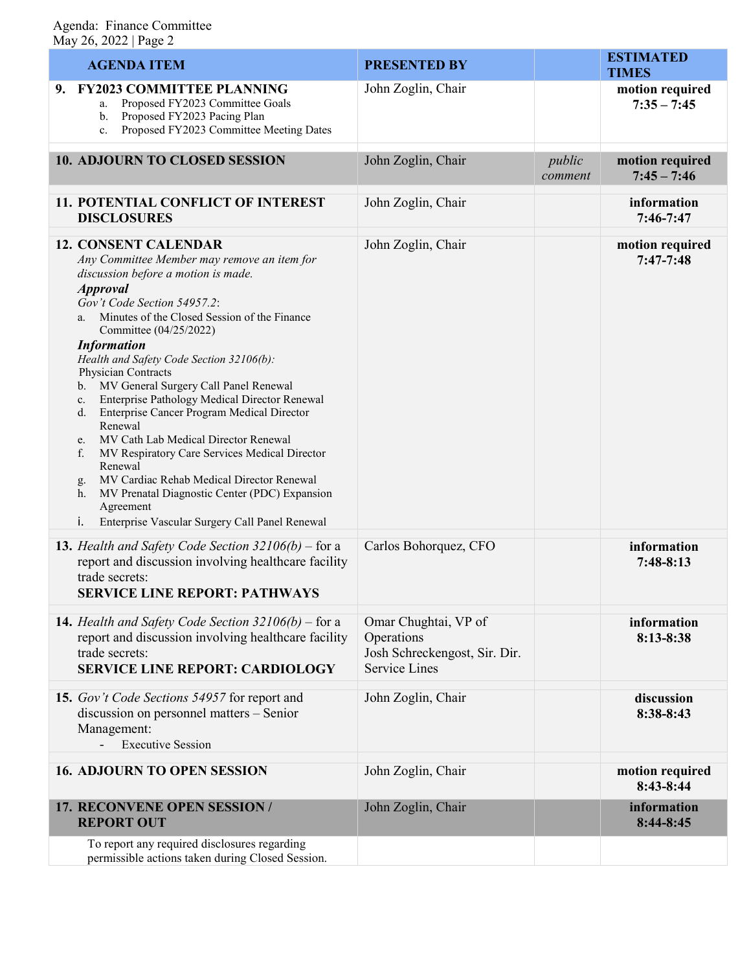### Agenda: Finance Committee May 26, 2022 | Page 2

| $10.49 \, \text{L}$ $0.66 \, \text{L}$ $0.60 \, \text{L}$                                                                                                                                                                                                                                                                                                                                                                                                                                                                                                                                                                                                                                                                                                                                                  |                                                                                             |                   |                                  |  |  |  |
|------------------------------------------------------------------------------------------------------------------------------------------------------------------------------------------------------------------------------------------------------------------------------------------------------------------------------------------------------------------------------------------------------------------------------------------------------------------------------------------------------------------------------------------------------------------------------------------------------------------------------------------------------------------------------------------------------------------------------------------------------------------------------------------------------------|---------------------------------------------------------------------------------------------|-------------------|----------------------------------|--|--|--|
| <b>AGENDA ITEM</b>                                                                                                                                                                                                                                                                                                                                                                                                                                                                                                                                                                                                                                                                                                                                                                                         | <b>PRESENTED BY</b>                                                                         |                   | <b>ESTIMATED</b><br><b>TIMES</b> |  |  |  |
| 9. FY2023 COMMITTEE PLANNING<br>Proposed FY2023 Committee Goals<br>a.<br>Proposed FY2023 Pacing Plan<br>b.<br>Proposed FY2023 Committee Meeting Dates<br>c.                                                                                                                                                                                                                                                                                                                                                                                                                                                                                                                                                                                                                                                | John Zoglin, Chair                                                                          |                   | motion required<br>$7:35 - 7:45$ |  |  |  |
| 10. ADJOURN TO CLOSED SESSION                                                                                                                                                                                                                                                                                                                                                                                                                                                                                                                                                                                                                                                                                                                                                                              | John Zoglin, Chair                                                                          | public<br>comment | motion required<br>$7:45 - 7:46$ |  |  |  |
| <b>11. POTENTIAL CONFLICT OF INTEREST</b><br><b>DISCLOSURES</b>                                                                                                                                                                                                                                                                                                                                                                                                                                                                                                                                                                                                                                                                                                                                            | John Zoglin, Chair                                                                          |                   | information<br>$7:46-7:47$       |  |  |  |
| <b>12. CONSENT CALENDAR</b><br>Any Committee Member may remove an item for<br>discussion before a motion is made.<br><b>Approval</b><br>Gov't Code Section 54957.2:<br>Minutes of the Closed Session of the Finance<br>a.<br>Committee (04/25/2022)<br><b>Information</b><br>Health and Safety Code Section 32106(b):<br>Physician Contracts<br>b. MV General Surgery Call Panel Renewal<br>Enterprise Pathology Medical Director Renewal<br>c.<br>d. Enterprise Cancer Program Medical Director<br>Renewal<br>MV Cath Lab Medical Director Renewal<br>e.<br>f.<br>MV Respiratory Care Services Medical Director<br>Renewal<br>MV Cardiac Rehab Medical Director Renewal<br>g.<br>MV Prenatal Diagnostic Center (PDC) Expansion<br>h.<br>Agreement<br>i.<br>Enterprise Vascular Surgery Call Panel Renewal | John Zoglin, Chair                                                                          |                   | motion required<br>$7:47-7:48$   |  |  |  |
| <b>13.</b> Health and Safety Code Section $32106(b)$ – for a<br>report and discussion involving healthcare facility<br>trade secrets:<br><b>SERVICE LINE REPORT: PATHWAYS</b>                                                                                                                                                                                                                                                                                                                                                                                                                                                                                                                                                                                                                              | Carlos Bohorquez, CFO                                                                       |                   | information<br>$7:48-8:13$       |  |  |  |
| <b>14.</b> Health and Safety Code Section $32106(b)$ – for a<br>report and discussion involving healthcare facility<br>trade secrets:<br><b>SERVICE LINE REPORT: CARDIOLOGY</b>                                                                                                                                                                                                                                                                                                                                                                                                                                                                                                                                                                                                                            | Omar Chughtai, VP of<br>Operations<br>Josh Schreckengost, Sir. Dir.<br><b>Service Lines</b> |                   | information<br>8:13-8:38         |  |  |  |
| 15. Gov't Code Sections 54957 for report and<br>discussion on personnel matters - Senior<br>Management:<br><b>Executive Session</b>                                                                                                                                                                                                                                                                                                                                                                                                                                                                                                                                                                                                                                                                        | John Zoglin, Chair                                                                          |                   | discussion<br>8:38-8:43          |  |  |  |
| <b>16. ADJOURN TO OPEN SESSION</b>                                                                                                                                                                                                                                                                                                                                                                                                                                                                                                                                                                                                                                                                                                                                                                         | John Zoglin, Chair                                                                          |                   | motion required<br>8:43-8:44     |  |  |  |
| 17. RECONVENE OPEN SESSION /<br><b>REPORT OUT</b>                                                                                                                                                                                                                                                                                                                                                                                                                                                                                                                                                                                                                                                                                                                                                          | John Zoglin, Chair                                                                          |                   | information<br>$8:44-8:45$       |  |  |  |
| To report any required disclosures regarding<br>permissible actions taken during Closed Session.                                                                                                                                                                                                                                                                                                                                                                                                                                                                                                                                                                                                                                                                                                           |                                                                                             |                   |                                  |  |  |  |